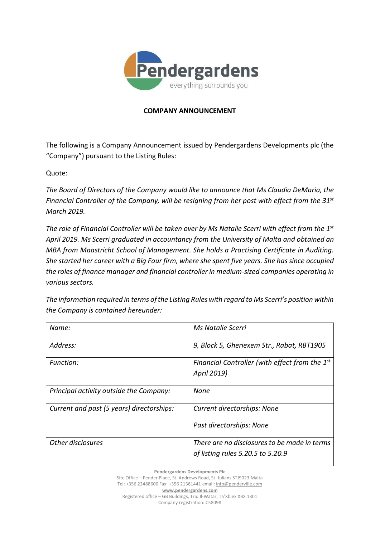

## **COMPANY ANNOUNCEMENT**

The following is a Company Announcement issued by Pendergardens Developments plc (the "Company") pursuant to the Listing Rules:

Quote:

*The Board of Directors of the Company would like to announce that Ms Claudia DeMaria, the Financial Controller of the Company, will be resigning from her post with effect from the 31st March 2019.*

*The role of Financial Controller will be taken over by Ms Natalie Scerri with effect from the 1st April 2019. Ms Scerri graduated in accountancy from the University of Malta and obtained an MBA from Maastricht School of Management. She holds a Practising Certificate in Auditing. She started her career with a Big Four firm, where she spent five years. She has since occupied the roles of finance manager and financial controller in medium-sized companies operating in various sectors.*

*The information required in terms of the Listing Rules with regard to Ms Scerri's position within the Company is contained hereunder:*

| Name:                                     | Ms Natalie Scerri                              |
|-------------------------------------------|------------------------------------------------|
| Address:                                  | 9, Block 5, Gheriexem Str., Rabat, RBT1905     |
| Function:                                 | Financial Controller (with effect from the 1st |
|                                           | April 2019)                                    |
| Principal activity outside the Company:   | None                                           |
| Current and past (5 years) directorships: | Current directorships: None                    |
|                                           | Past directorships: None                       |
| Other disclosures                         | There are no disclosures to be made in terms   |
|                                           | of listing rules 5.20.5 to 5.20.9              |

**Pendergardens Developments Plc** Site Office – Pender Place, St. Andrews Road, St. Julians STJ9023 Malta Tel: +356 22488600 Fax: +356 21381441 email: [info@penderville.com](mailto:info@penderville.com) **[www.pendergardens.com](http://www.pendergardens.com/)**

Registered office – GB Buildings, Triq Il-Watar, Ta'Xbiex XBX 1301 Company registration: C58098